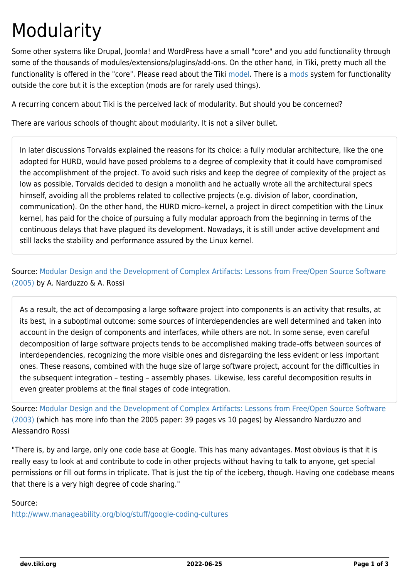## Modularity

Some other systems like Drupal, Joomla! and WordPress have a small "core" and you add functionality through some of the thousands of modules/extensions/plugins/add-ons. On the other hand, in Tiki, pretty much all the functionality is offered in the "core". Please read about the Tiki [model](https://dev.tiki.org/Model). There is a [mods](https://dev.tiki.org/Mods) system for functionality outside the core but it is the exception (mods are for rarely used things).

A recurring concern about Tiki is the perceived lack of modularity. But should you be concerned?

There are various schools of thought about modularity. It is not a silver bullet.

In later discussions Torvalds explained the reasons for its choice: a fully modular architecture, like the one adopted for HURD, would have posed problems to a degree of complexity that it could have compromised the accomplishment of the project. To avoid such risks and keep the degree of complexity of the project as low as possible, Torvalds decided to design a monolith and he actually wrote all the architectural specs himself, avoiding all the problems related to collective projects (e.g. division of labor, coordination, communication). On the other hand, the HURD micro–kernel, a project in direct competition with the Linux kernel, has paid for the choice of pursuing a fully modular approach from the beginning in terms of the continuous delays that have plagued its development. Nowadays, it is still under active development and still lacks the stability and performance assured by the Linux kernel.

Source: [Modular Design and the Development of Complex Artifacts: Lessons from Free/Open Source Software](http://oss2005.case.unibz.it/Papers/25.pdf) [\(2005\)](http://oss2005.case.unibz.it/Papers/25.pdf) by A. Narduzzo & A. Rossi

As a result, the act of decomposing a large software project into components is an activity that results, at its best, in a suboptimal outcome: some sources of interdependencies are well determined and taken into account in the design of components and interfaces, while others are not. In some sense, even careful decomposition of large software projects tends to be accomplished making trade–offs between sources of interdependencies, recognizing the more visible ones and disregarding the less evident or less important ones. These reasons, combined with the huge size of large software project, account for the difficulties in the subsequent integration – testing – assembly phases. Likewise, less careful decomposition results in even greater problems at the final stages of code integration.

Source: [Modular Design and the Development of Complex Artifacts: Lessons from Free/Open Source Software](https://core.ac.uk/download/pdf/6381927.pdf) [\(2003\)](https://core.ac.uk/download/pdf/6381927.pdf) (which has more info than the 2005 paper: 39 pages vs 10 pages) by Alessandro Narduzzo and Alessandro Rossi

"There is, by and large, only one code base at Google. This has many advantages. Most obvious is that it is really easy to look at and contribute to code in other projects without having to talk to anyone, get special permissions or fill out forms in triplicate. That is just the tip of the iceberg, though. Having one codebase means that there is a very high degree of code sharing."

Source:

<http://www.manageability.org/blog/stuff/google-coding-cultures>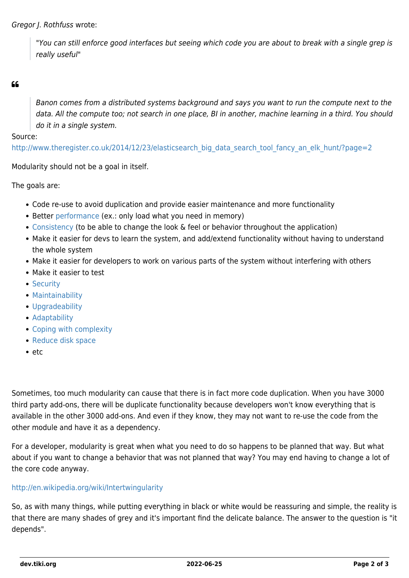"You can still enforce good interfaces but seeing which code you are about to break with a single grep is really useful"

## $66$

Banon comes from a distributed systems background and says you want to run the compute next to the data. All the compute too; not search in one place, BI in another, machine learning in a third. You should do it in a single system.

Source:

[http://www.theregister.co.uk/2014/12/23/elasticsearch\\_big\\_data\\_search\\_tool\\_fancy\\_an\\_elk\\_hunt/?page=2](http://www.theregister.co.uk/2014/12/23/elasticsearch_big_data_search_tool_fancy_an_elk_hunt/?page=2)

Modularity should not be a goal in itself.

The goals are:

- Code re-use to avoid duplication and provide easier maintenance and more functionality
- Better [performance](https://dev.tiki.org/Performance) (ex.: only load what you need in memory)
- [Consistency](https://dev.tiki.org/Consistency) (to be able to change the look & feel or behavior throughout the application)
- Make it easier for devs to learn the system, and add/extend functionality without having to understand the whole system
- Make it easier for developers to work on various parts of the system without interfering with others
- Make it easier to test
- [Security](https://dev.tiki.org/Security)
- [Maintainability](https://dev.tiki.org/Maintainability)
- [Upgradeability](https://dev.tiki.org/Upgradeability)
- [Adaptability](https://dev.tiki.org/Adaptability)
- [Coping with complexity](http://tiki.org/Coping%20with%20complexity)
- [Reduce disk space](https://dev.tiki.org/Reduce-disk-space)
- $etc$

Sometimes, too much modularity can cause that there is in fact more code duplication. When you have 3000 third party add-ons, there will be duplicate functionality because developers won't know everything that is available in the other 3000 add-ons. And even if they know, they may not want to re-use the code from the other module and have it as a dependency.

For a developer, modularity is great when what you need to do so happens to be planned that way. But what about if you want to change a behavior that was not planned that way? You may end having to change a lot of the core code anyway.

## <http://en.wikipedia.org/wiki/Intertwingularity>

So, as with many things, while putting everything in black or white would be reassuring and simple, the reality is that there are many shades of grey and it's important find the delicate balance. The answer to the question is "it depends".